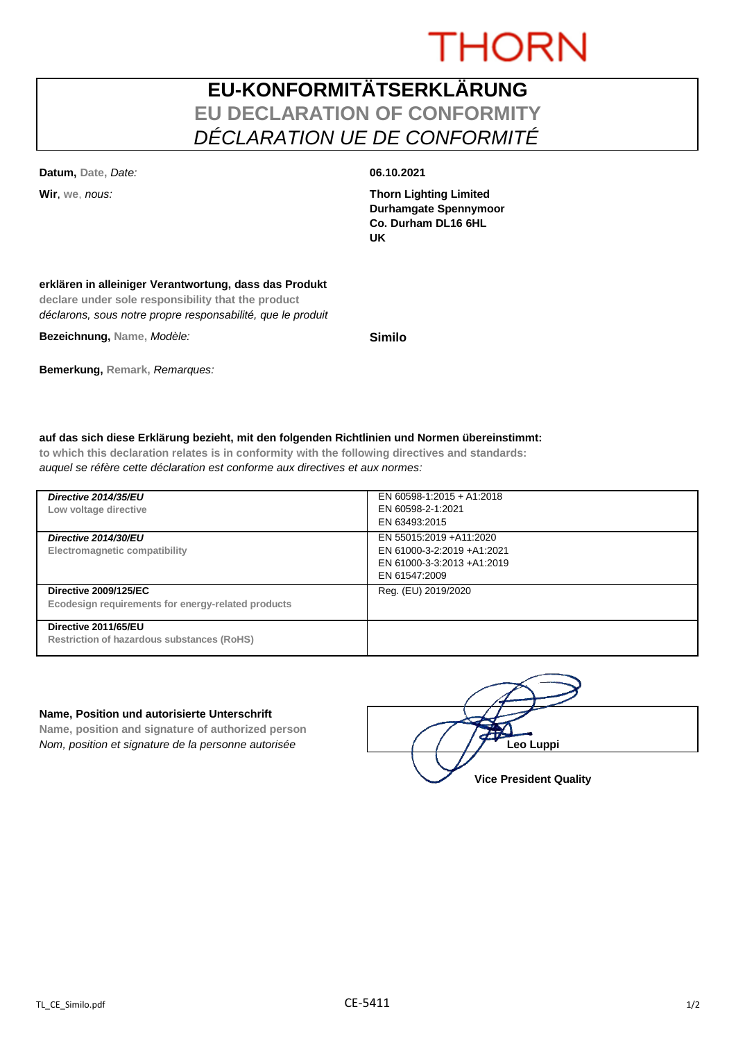# **THORN**

## **EU-KONFORMITÄTSERKLÄRUNG EU DECLARATION OF CONFORMITY** *DÉCLARATION UE DE CONFORMITÉ*

**Datum, Date,** *Date:* **06.10.2021**

**Wir**, **we**, *nous:* **Thorn Lighting Limited Durhamgate Spennymoor Co. Durham DL16 6HL UK**

#### **erklären in alleiniger Verantwortung, dass das Produkt**

**declare under sole responsibility that the product** *déclarons, sous notre propre responsabilité, que le produit*

**Bezeichnung, Name,** *Modèle:* **Similo**

### **Bemerkung, Remark,** *Remarques:*

#### **auf das sich diese Erklärung bezieht, mit den folgenden Richtlinien und Normen übereinstimmt:**

**to which this declaration relates is in conformity with the following directives and standards:** *auquel se réfère cette déclaration est conforme aux directives et aux normes:*

| Directive 2014/35/EU<br>Low voltage directive                                      | EN 60598-1:2015 + A1:2018<br>EN 60598-2-1:2021<br>EN 63493:2015                                      |
|------------------------------------------------------------------------------------|------------------------------------------------------------------------------------------------------|
| Directive 2014/30/EU<br>Electromagnetic compatibility                              | EN 55015:2019 +A11:2020<br>EN 61000-3-2:2019 +A1:2021<br>EN 61000-3-3:2013 +A1:2019<br>EN 61547:2009 |
| <b>Directive 2009/125/EC</b><br>Ecodesign requirements for energy-related products | Reg. (EU) 2019/2020                                                                                  |
| Directive 2011/65/EU<br><b>Restriction of hazardous substances (RoHS)</b>          |                                                                                                      |

#### **Name, Position und autorisierte Unterschrift**

**Name, position and signature of authorized person** *Nom, position et signature de la personne autorisée*  $\left| \begin{array}{cc} | & | & | \end{array} \right|$  / / / **/ Leo Luppi** 

**Vice President Quality**